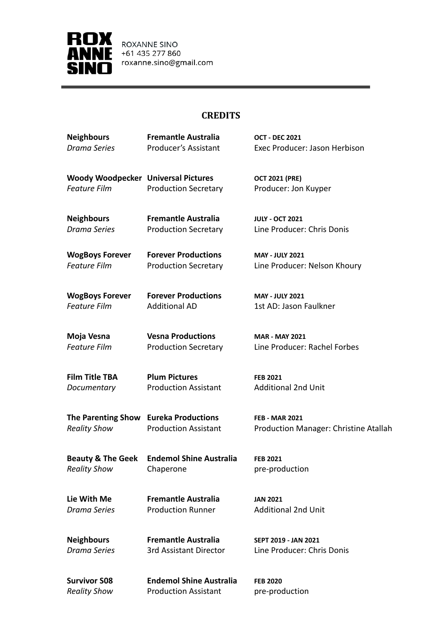

ROXANNE SINO +61 435 277 860 roxanne.sino@gmail.com

## **CREDITS**

| <b>Neighbours</b>                          | <b>Fremantle Australia</b>     | <b>OCT - DEC 2021</b>                        |
|--------------------------------------------|--------------------------------|----------------------------------------------|
| <b>Drama Series</b>                        | <b>Producer's Assistant</b>    | Exec Producer: Jason Herbison                |
| <b>Woody Woodpecker Universal Pictures</b> |                                | <b>OCT 2021 (PRE)</b>                        |
| <b>Feature Film</b>                        | <b>Production Secretary</b>    | Producer: Jon Kuyper                         |
| <b>Neighbours</b>                          | <b>Fremantle Australia</b>     | <b>JULY - OCT 2021</b>                       |
| <b>Drama Series</b>                        | <b>Production Secretary</b>    | Line Producer: Chris Donis                   |
| <b>WogBoys Forever</b>                     | <b>Forever Productions</b>     | <b>MAY - JULY 2021</b>                       |
| <b>Feature Film</b>                        | <b>Production Secretary</b>    | Line Producer: Nelson Khoury                 |
| <b>WogBoys Forever</b>                     | <b>Forever Productions</b>     | <b>MAY - JULY 2021</b>                       |
| <b>Feature Film</b>                        | <b>Additional AD</b>           | 1st AD: Jason Faulkner                       |
| Moja Vesna                                 | <b>Vesna Productions</b>       | <b>MAR - MAY 2021</b>                        |
| <b>Feature Film</b>                        | <b>Production Secretary</b>    | Line Producer: Rachel Forbes                 |
| <b>Film Title TBA</b>                      | <b>Plum Pictures</b>           | <b>FEB 2021</b>                              |
| Documentary                                | <b>Production Assistant</b>    | <b>Additional 2nd Unit</b>                   |
| The Parenting Show Eureka Productions      |                                | <b>FEB - MAR 2021</b>                        |
| <b>Reality Show</b>                        | <b>Production Assistant</b>    | <b>Production Manager: Christine Atallah</b> |
| <b>Beauty &amp; The Geek</b>               | <b>Endemol Shine Australia</b> | <b>FEB 2021</b>                              |
| <b>Reality Show</b>                        | Chaperone                      | pre-production                               |
| Lie With Me                                | <b>Fremantle Australia</b>     | <b>JAN 2021</b>                              |
| <b>Drama Series</b>                        | <b>Production Runner</b>       | <b>Additional 2nd Unit</b>                   |
| <b>Neighbours</b>                          | <b>Fremantle Australia</b>     | SEPT 2019 - JAN 2021                         |
| <b>Drama Series</b>                        | 3rd Assistant Director         | Line Producer: Chris Donis                   |
| <b>Survivor S08</b>                        | <b>Endemol Shine Australia</b> | <b>FEB 2020</b>                              |

*Reality Show* Production Assistant pre-production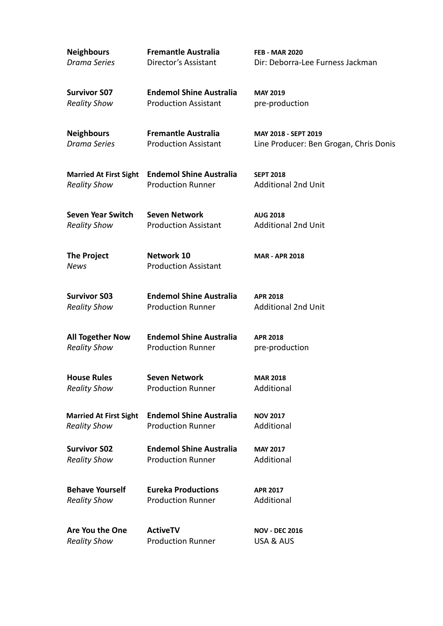| <b>Neighbours</b>                          | <b>Fremantle Australia</b>                                    | <b>FEB - MAR 2020</b>                  |
|--------------------------------------------|---------------------------------------------------------------|----------------------------------------|
| <b>Drama Series</b>                        | Director's Assistant                                          | Dir: Deborra-Lee Furness Jackman       |
|                                            |                                                               |                                        |
| <b>Survivor S07</b><br><b>Reality Show</b> | <b>Endemol Shine Australia</b><br><b>Production Assistant</b> | <b>MAY 2019</b><br>pre-production      |
|                                            |                                                               |                                        |
| <b>Neighbours</b>                          | <b>Fremantle Australia</b>                                    | MAY 2018 - SEPT 2019                   |
| <b>Drama Series</b>                        | <b>Production Assistant</b>                                   | Line Producer: Ben Grogan, Chris Donis |
|                                            |                                                               |                                        |
| <b>Married At First Sight</b>              | <b>Endemol Shine Australia</b>                                | <b>SEPT 2018</b>                       |
| <b>Reality Show</b>                        | <b>Production Runner</b>                                      | <b>Additional 2nd Unit</b>             |
| <b>Seven Year Switch</b>                   | <b>Seven Network</b>                                          | <b>AUG 2018</b>                        |
| <b>Reality Show</b>                        | <b>Production Assistant</b>                                   | <b>Additional 2nd Unit</b>             |
|                                            |                                                               |                                        |
| <b>The Project</b>                         | Network 10                                                    | <b>MAR - APR 2018</b>                  |
| <b>News</b>                                | <b>Production Assistant</b>                                   |                                        |
| <b>Survivor S03</b>                        | <b>Endemol Shine Australia</b>                                | <b>APR 2018</b>                        |
| <b>Reality Show</b>                        | <b>Production Runner</b>                                      | <b>Additional 2nd Unit</b>             |
|                                            |                                                               |                                        |
| <b>All Together Now</b>                    | <b>Endemol Shine Australia</b>                                | <b>APR 2018</b>                        |
| <b>Reality Show</b>                        | <b>Production Runner</b>                                      | pre-production                         |
| <b>House Rules</b>                         | <b>Seven Network</b>                                          | <b>MAR 2018</b>                        |
| <b>Reality Show</b>                        | <b>Production Runner</b>                                      | Additional                             |
|                                            |                                                               |                                        |
| <b>Married At First Sight</b>              | <b>Endemol Shine Australia</b>                                | <b>NOV 2017</b>                        |
| <b>Reality Show</b>                        | <b>Production Runner</b>                                      | Additional                             |
| <b>Survivor S02</b>                        | <b>Endemol Shine Australia</b>                                | <b>MAY 2017</b>                        |
| <b>Reality Show</b>                        | <b>Production Runner</b>                                      | Additional                             |
| <b>Behave Yourself</b>                     | <b>Eureka Productions</b>                                     |                                        |
| <b>Reality Show</b>                        | <b>Production Runner</b>                                      | <b>APR 2017</b><br>Additional          |
|                                            |                                                               |                                        |
| Are You the One                            | <b>ActiveTV</b>                                               | <b>NOV - DEC 2016</b>                  |
| <b>Reality Show</b>                        | <b>Production Runner</b>                                      | USA & AUS                              |